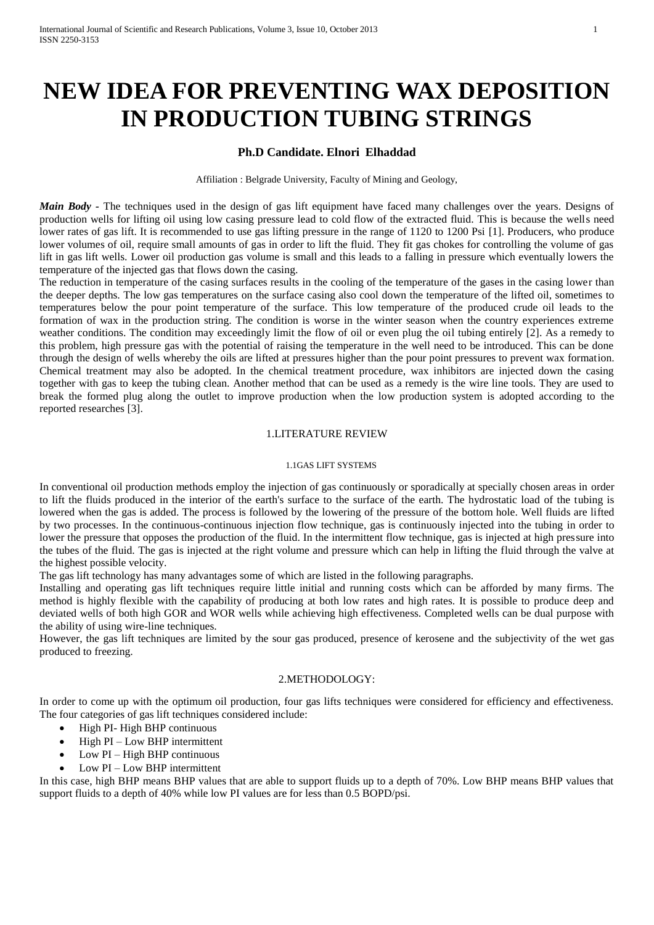# **NEW IDEA FOR PREVENTING WAX DEPOSITION IN PRODUCTION TUBING STRINGS**

## **Ph.D Candidate. Elnori Elhaddad**

Affiliation : Belgrade University, Faculty of Mining and Geology,

*Main Body* - The techniques used in the design of gas lift equipment have faced many challenges over the years. Designs of production wells for lifting oil using low casing pressure lead to cold flow of the extracted fluid. This is because the wells need lower rates of gas lift. It is recommended to use gas lifting pressure in the range of 1120 to 1200 Psi [1]. Producers, who produce lower volumes of oil, require small amounts of gas in order to lift the fluid. They fit gas chokes for controlling the volume of gas lift in gas lift wells. Lower oil production gas volume is small and this leads to a falling in pressure which eventually lowers the temperature of the injected gas that flows down the casing.

The reduction in temperature of the casing surfaces results in the cooling of the temperature of the gases in the casing lower than the deeper depths. The low gas temperatures on the surface casing also cool down the temperature of the lifted oil, sometimes to temperatures below the pour point temperature of the surface. This low temperature of the produced crude oil leads to the formation of wax in the production string. The condition is worse in the winter season when the country experiences extreme weather conditions. The condition may exceedingly limit the flow of oil or even plug the oil tubing entirely [2]. As a remedy to this problem, high pressure gas with the potential of raising the temperature in the well need to be introduced. This can be done through the design of wells whereby the oils are lifted at pressures higher than the pour point pressures to prevent wax formation. Chemical treatment may also be adopted. In the chemical treatment procedure, wax inhibitors are injected down the casing together with gas to keep the tubing clean. Another method that can be used as a remedy is the wire line tools. They are used to break the formed plug along the outlet to improve production when the low production system is adopted according to the reported researches [3].

#### 1.LITERATURE REVIEW

#### 1.1GAS LIFT SYSTEMS

In conventional oil production methods employ the injection of gas continuously or sporadically at specially chosen areas in order to lift the fluids produced in the interior of the earth's surface to the surface of the earth. The hydrostatic load of the tubing is lowered when the gas is added. The process is followed by the lowering of the pressure of the bottom hole. Well fluids are lifted by two processes. In the continuous-continuous injection flow technique, gas is continuously injected into the tubing in order to lower the pressure that opposes the production of the fluid. In the intermittent flow technique, gas is injected at high pressure into the tubes of the fluid. The gas is injected at the right volume and pressure which can help in lifting the fluid through the valve at the highest possible velocity.

The gas lift technology has many advantages some of which are listed in the following paragraphs.

Installing and operating gas lift techniques require little initial and running costs which can be afforded by many firms. The method is highly flexible with the capability of producing at both low rates and high rates. It is possible to produce deep and deviated wells of both high GOR and WOR wells while achieving high effectiveness. Completed wells can be dual purpose with the ability of using wire-line techniques.

However, the gas lift techniques are limited by the sour gas produced, presence of kerosene and the subjectivity of the wet gas produced to freezing.

### 2.METHODOLOGY:

In order to come up with the optimum oil production, four gas lifts techniques were considered for efficiency and effectiveness. The four categories of gas lift techniques considered include:

- High PI- High BHP continuous
- High PI Low BHP intermittent
- $\bullet$  Low PI High BHP continuous
- Low PI Low BHP intermittent

In this case, high BHP means BHP values that are able to support fluids up to a depth of 70%. Low BHP means BHP values that support fluids to a depth of 40% while low PI values are for less than 0.5 BOPD/psi.